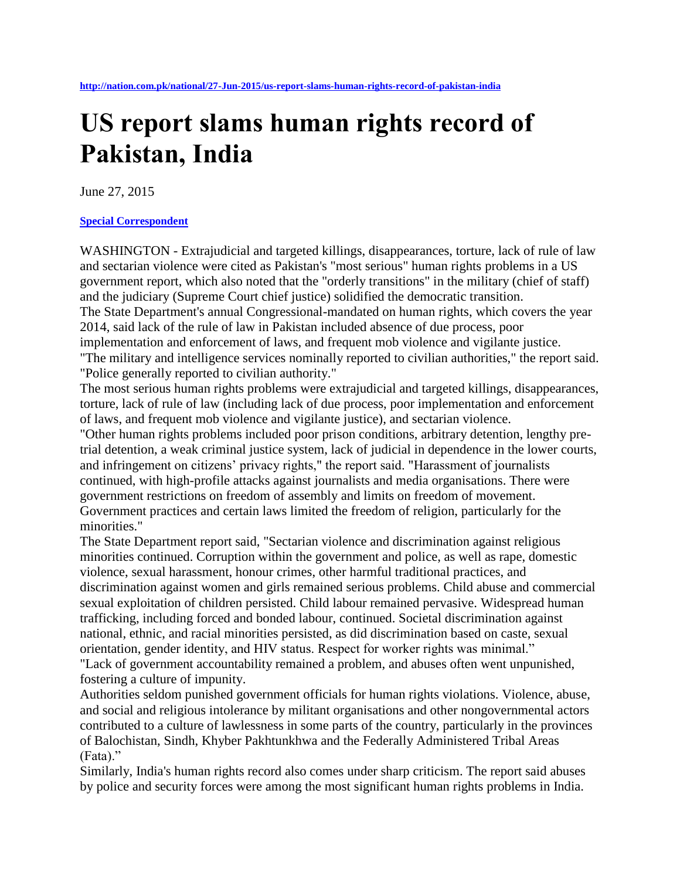## **US report slams human rights record of Pakistan, India**

June 27, 2015

## **[Special Correspondent](http://nation.com.pk/Reporter/special-correspondent)**

WASHINGTON - Extrajudicial and targeted killings, disappearances, torture, lack of rule of law and sectarian violence were cited as Pakistan's "most serious" human rights problems in a US government report, which also noted that the "orderly transitions" in the military (chief of staff) and the judiciary (Supreme Court chief justice) solidified the democratic transition. The State Department's annual Congressional-mandated on human rights, which covers the year 2014, said lack of the rule of law in Pakistan included absence of due process, poor implementation and enforcement of laws, and frequent mob violence and vigilante justice. "The military and intelligence services nominally reported to civilian authorities," the report said. "Police generally reported to civilian authority."

The most serious human rights problems were extrajudicial and targeted killings, disappearances, torture, lack of rule of law (including lack of due process, poor implementation and enforcement of laws, and frequent mob violence and vigilante justice), and sectarian violence.

"Other human rights problems included poor prison conditions, arbitrary detention, lengthy pretrial detention, a weak criminal justice system, lack of judicial in dependence in the lower courts, and infringement on citizens' privacy rights," the report said. "Harassment of journalists continued, with high-profile attacks against journalists and media organisations. There were government restrictions on freedom of assembly and limits on freedom of movement. Government practices and certain laws limited the freedom of religion, particularly for the minorities."

The State Department report said, "Sectarian violence and discrimination against religious minorities continued. Corruption within the government and police, as well as rape, domestic violence, sexual harassment, honour crimes, other harmful traditional practices, and discrimination against women and girls remained serious problems. Child abuse and commercial sexual exploitation of children persisted. Child labour remained pervasive. Widespread human trafficking, including forced and bonded labour, continued. Societal discrimination against national, ethnic, and racial minorities persisted, as did discrimination based on caste, sexual orientation, gender identity, and HIV status. Respect for worker rights was minimal." "Lack of government accountability remained a problem, and abuses often went unpunished, fostering a culture of impunity.

Authorities seldom punished government officials for human rights violations. Violence, abuse, and social and religious intolerance by militant organisations and other nongovernmental actors contributed to a culture of lawlessness in some parts of the country, particularly in the provinces of Balochistan, Sindh, Khyber Pakhtunkhwa and the Federally Administered Tribal Areas (Fata)."

Similarly, India's human rights record also comes under sharp criticism. The report said abuses by police and security forces were among the most significant human rights problems in India.